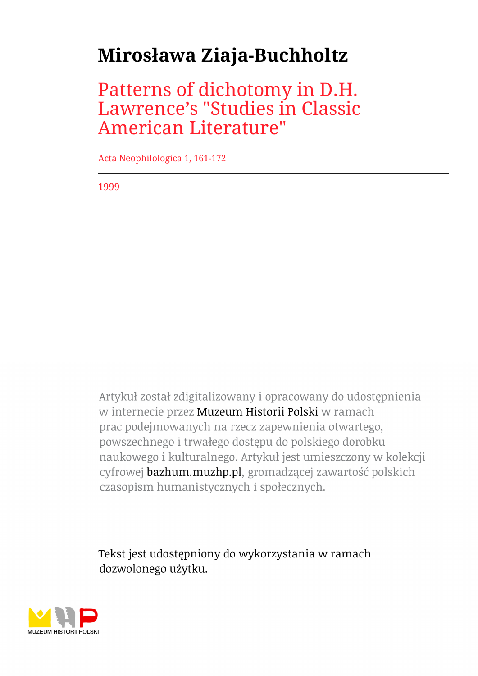# **Mirosława Ziaja-Buchholtz**

Patterns of dichotomy in D.H. Lawrence's "Studies in Classic American Literature"

Acta Neophilologica 1, 161-172

1999

Artykuł został zdigitalizowany i opracowany do udostępnienia w internecie przez Muzeum Historii Polski w ramach prac podejmowanych na rzecz zapewnienia otwartego, powszechnego i trwałego dostępu do polskiego dorobku naukowego i kulturalnego. Artykuł jest umieszczony w kolekcji cyfrowej bazhum.muzhp.pl, gromadzącej zawartość polskich czasopism humanistycznych i społecznych.

Tekst jest udostępniony do wykorzystania w ramach dozwolonego użytku.

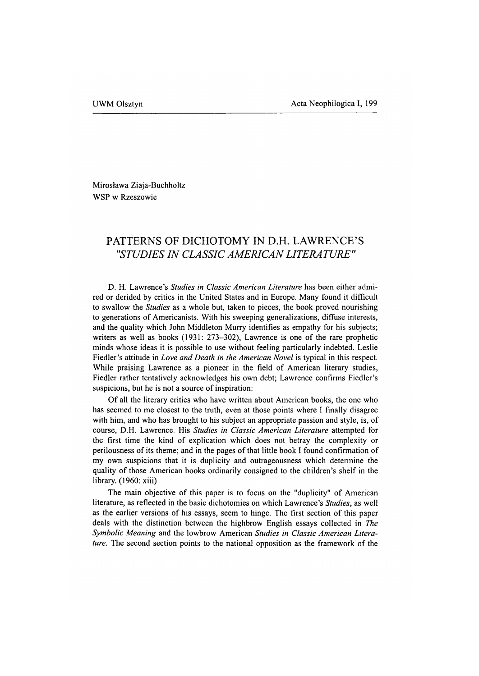Mirosława Ziaja-Buchholtz WSP w Rzeszowie

## **PATTERNS OF DICHOTOMY IN D.H. LAWRENCE'S** *"STUDIES IN CLASSIC A M E R IC A N LITERATURE"*

D. H. Lawrence's *Studies in Classic American Literature* has been either admired or derided by critics in the United States and in Europe. Many found it difficult to swallow the *Studies* as a whole but, taken to pieces, the book proved nourishing to generations of Americanists. With his sweeping generalizations, diffuse interests, and the quality which John Middleton Murry identifies as empathy for his subjects; writers as well as books (1931: 273-302), Lawrence is one of the rare prophetic minds whose ideas it is possible to use without feeling particularly indebted. Leslie Fiedler's attitude in *Love and Death in the American Novel* is typical in this respect. While praising Lawrence as a pioneer in the field of American literary studies, Fiedler rather tentatively acknowledges his own debt; Lawrence confirms Fiedler's suspicions, but he is not a source of inspiration:

Of all the literary critics who have written about American books, the one who has seemed to me closest to the truth, even at those points where I finally disagree with him, and who has brought to his subject an appropriate passion and style, is, of course, D.H. Lawrence. His *Studies in Classic American Literature* attempted for the first time the kind of explication which does not betray the complexity or perilousness of its theme; and in the pages of that little book I found confirmation of my own suspicions that it is duplicity and outrageousness which determine the quality of those American books ordinarily consigned to the children's shelf in the library. (1960: xiii)

The main objective of this paper is to focus on the "duplicity" of American literature, as reflected in the basic dichotomies on which Lawrence's *Studies,* as well as the earlier versions of his essays, seem to hinge. The first section of this paper deals with the distinction between the highbrow English essays collected in *The Symbolic Meaning* and the lowbrow American *Studies in Classic American Literature.* The second section points to the national opposition as the framework of the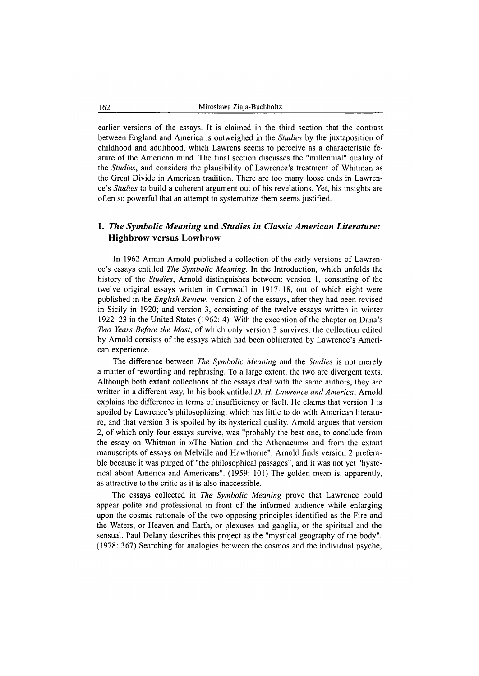earlier versions of the essays. It is claimed in the third section that the contrast between England and America is outweighed in the *Studies* by the juxtaposition of childhood and adulthood, which Lawrens seems to perceive as a characteristic feature of the American mind. The final section discusses the "millennial" quality of the *Studies,* and considers the plausibility of Lawrence's treatment of Whitman as the Great Divide in American tradition. There are too many loose ends in Lawrence's *Studies* to build a coherent argument out of his revelations. Yet, his insights are often so powerful that an attempt to systematize them seems justified.

### **1.** *The Sym bolic M eaning* **and** *Studies in Classic A m erican Literature:* **Highbrow versus Lowbrow**

In 1962 Armin Arnold published a collection of the early versions of Lawrence's essays entitled *The Symbolic Meaning.* In the Introduction, which unfolds the history of the *Studies,* Arnold distinguishes between: version 1, consisting of the twelve original essays written in Cornwall in 1917-18, out of which eight were published in the *English Review,* version 2 of the essays, after they had been revised in Sicily in 1920; and version 3, consisting of the twelve essays written in winter 1922-23 in the United States (1962: 4). With the exception of the chapter on Dana's *Two Years Before the Mast,* of which only version 3 survives, the collection edited by Arnold consists of the essays which had been obliterated by Lawrence's American experience.

The difference between *The Symbolic Meaning* and the *Studies* is not merely a matter of rewording and rephrasing. To a large extent, the two are divergent texts. Although both extant collections of the essays deal with the same authors, they are written in a different way. In his book entitled *D. H. Lawrence and America,* Arnold explains the difference in terms of insufficiency or fault. He claims that version 1 is spoiled by Lawrence's philosophizing, which has little to do with American literature, and that version 3 is spoiled by its hysterical quality. Arnold argues that version 2, of which only four essays survive, was "probably the best one, to conclude from the essay on Whitman in »The Nation and the Athenaeum« and from the extant manuscripts of essays on Melville and Hawthorne". Arnold finds version 2 preferable because it was purged of "the philosophical passages", and it was not yet "hysterical about America and Americans". (1959: 101) The golden mean is, apparently, as attractive to the critic as it is also inaccessible.

The essays collected in *The Symbolic Meaning* prove that Lawrence could appear polite and professional in front of the informed audience while enlarging upon the cosmic rationale of the two opposing principles identified as the Fire and the Waters, or Heaven and Earth, or plexuses and ganglia, or the spiritual and the sensual. Paul Delany describes this project as the "mystical geography of the body". (1978: 367) Searching for analogies between the cosmos and the individual psyche,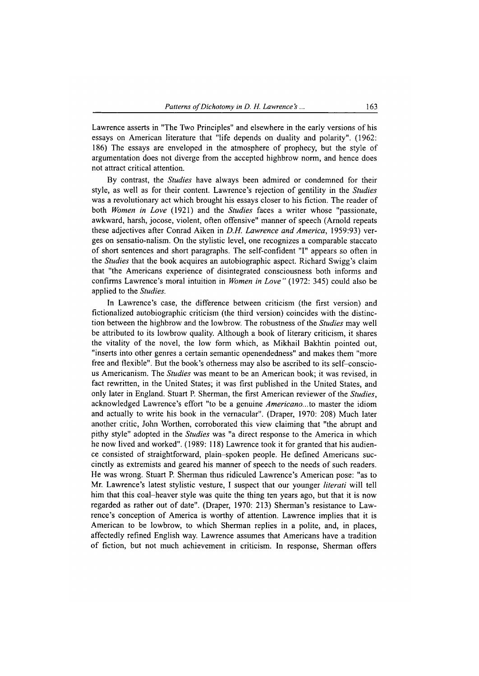Lawrence asserts in "The Two Principles" and elsewhere in the early versions of his essays on American literature that "life depends on duality and polarity". (1962: 186) The essays are enveloped in the atmosphere of prophecy, but the style of argumentation does not diverge from the accepted highbrow norm, and hence does not attract critical attention.

By contrast, the *Studies* have always been admired or condemned for their style, as well as for their content. Lawrence's rejection of gentility in the *Studies* was a revolutionary act which brought his essays closer to his fiction. The reader of both *Women in Love* (1921) and the *Studies* faces a writer whose "passionate, awkward, harsh, jocose, violent, often offensive" manner of speech (Arnold repeats these adjectives after Conrad Aiken in *D.H. Lawrence and America,* 1959:93) verges on sensatio-nalism. On the stylistic level, one recognizes a comparable staccato of short sentences and short paragraphs. The self-confident "I" appears so often in the *Studies* that the book acquires an autobiographic aspect. Richard Swigg's claim that "the Americans experience of disintegrated consciousness both informs and confirms Lawrence's moral intuition in *Women in Love"* (1972: 345) could also be applied to the *Studies.*

In Lawrence's case, the difference between criticism (the first version) and fictionalized autobiographic criticism (the third version) coincides with the distinction between the highbrow and the lowbrow. The robustness of the *Studies* may well be attributed to its lowbrow quality. Although a book of literary criticism, it shares the vitality of the novel, the low form which, as Mikhail Bakhtin pointed out, "inserts into other genres a certain semantic openendedness" and makes them "more free and flexible". But the book's otherness may also be ascribed to its self-conscious Americanism. The *Studies* was meant to be an American book; it was revised, in fact rewritten, in the United States; it was first published in the United States, and only later in England. Stuart P. Sherman, the first American reviewer of the *Studies,* acknowledged Lawrence's effort "to be a genuine *Americano...*to master the idiom and actually to write his book in the vernacular". (Draper, 1970: 208) Much later another critic, John Worthen, corroborated this view claiming that "the abrupt and pithy style" adopted in the *Studies* was "a direct response to the America in which he now lived and worked". (1989: 118) Lawrence took it for granted that his audience consisted of straightforward, plain-spoken people. He defined Americans succinctly as extremists and geared his manner of speech to the needs of such readers. He was wrong. Stuart P. Sherman thus ridiculed Lawrence's American pose: "as to Mr. Lawrence's latest stylistic vesture, I suspect that our younger *literati* will tell him that this coal-heaver style was quite the thing ten years ago, but that it is now regarded as rather out of date". (Draper, 1970: 213) Sherman's resistance to Lawrence's conception of America is worthy of attention. Lawrence implies that it is American to be lowbrow, to which Sherman replies in a polite, and, in places, affectedly refined English way. Lawrence assumes that Americans have a tradition of fiction, but not much achievement in criticism. In response, Sherman offers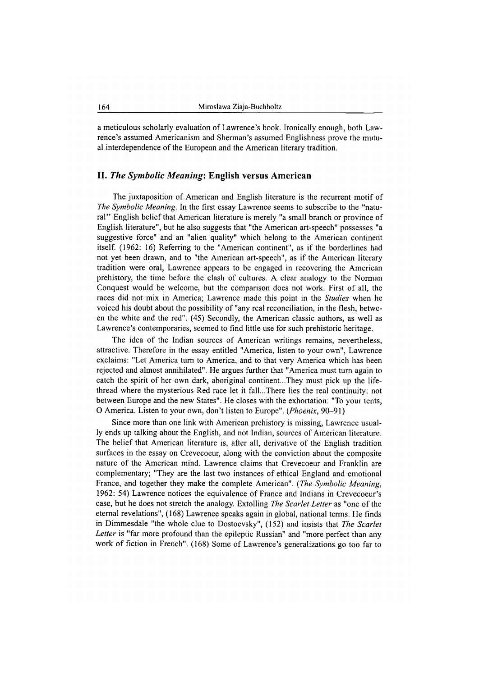a meticulous scholarly evaluation of Lawrence's book. Ironically enough, both Lawrence's assumed Americanism and Sherman's assumed Englishness prove the mutual interdependence of the European and the American literary tradition.

#### **II.** *The Sym bolic M ean in g***: English versus American**

The juxtaposition of American and English literature is the recurrent motif of *The Symbolic Meaning.* In the first essay Lawrence seems to subscribe to the "natural" English belief that American literature is merely "a small branch or province of English literature", but he also suggests that "the American art-speech" possesses "a suggestive force" and an "alien quality" which belong to the American continent itself. (1962: 16) Referring to the "American continent", as if the borderlines had not yet been drawn, and to "the American art-speech", as if the American literary tradition were oral, Lawrence appears to be engaged in recovering the American prehistory, the time before the clash of cultures. A clear analogy to the Norman Conquest would be welcome, but the comparison does not work. First of all, the races did not mix in America; Lawrence made this point in the *Studies* when he voiced his doubt about the possibility of "any real reconciliation, in the flesh, between the white and the red". (45) Secondly, the American classic authors, as well as Lawrence's contemporaries, seemed to find little use for such prehistoric heritage.

The idea of the Indian sources of American writings remains, nevertheless, attractive. Therefore in the essay entitled "America, listen to your own", Lawrence exclaims: "Let America turn to America, and to that very America which has been rejected and almost annihilated". He argues further that "America must turn again to catch the spirit of her own dark, aboriginal continent...They must pick up the lifethread where the mysterious Red race let it fall...There lies the real continuity: not between Europe and the new States". He closes with the exhortation: "To your tents, O America. Listen to your own, don't listen to Europe". (*Phoenix*, 90-91)

Since more than one link with American prehistory is missing, Lawrence usually ends up talking about the English, and not Indian, sources of American literature. The belief that American literature is, after all, derivative of the English tradition surfaces in the essay on Crevecoeur, along with the conviction about the composite nature of the American mind. Lawrence claims that Crevecoeur and Franklin are complementary; "They are the last two instances of ethical England and emotional France, and together they make the complete American". *(The Symbolic Meaning,* 1962: 54) Lawrence notices the equivalence of France and Indians in Crevecoeur's case, but he does not stretch the analogy. Extolling *The Scarlet Letter* as "one of the eternal revelations", (168) Lawrence speaks again in global, national terms. He finds in Dimmesdale "the whole clue to Dostoevsky", (152) and insists that *The Scarlet Letter* is "far more profound than the epileptic Russian" and "more perfect than any work of fiction in French". (168) Some of Lawrence's generalizations go too far to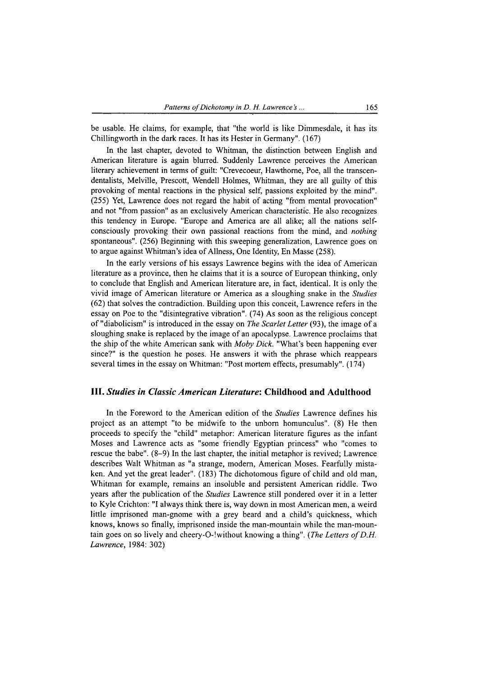be usable. He claims, for example, that "the world is like Dimmesdale, it has its Chillingworth in the dark races. It has its Hester in Germany". (167)

In the last chapter, devoted to Whitman, the distinction between English and American literature is again blurred. Suddenly Lawrence perceives the American literary achievement in terms of guilt: "Crevecoeur, Hawthorne, Poe, all the transcendentalists, Melville, Prescott, Wendell Holmes, Whitman, they are all guilty of this provoking of mental reactions in the physical self, passions exploited by the mind". (255) Yet, Lawrence does not regard the habit of acting "from mental provocation" and not "from passion" as an exclusively American characteristic. He also recognizes this tendency in Europe. "Europe and America are all alike; all the nations selfconsciously provoking their own passional reactions from the mind, and *nothing* spontaneous". (256) Beginning with this sweeping generalization, Lawrence goes on to argue against Whitman's idea of Allness, One Identity, En Masse (258).

In the early versions of his essays Lawrence begins with the idea of American literature as a province, then he claims that it is a source of European thinking, only to conclude that English and American literature are, in fact, identical. It is only the vivid image of American literature or America as a sloughing snake in the *Studies* (62) that solves the contradiction. Building upon this conceit, Lawrence refers in the essay on Poe to the "disintegrative vibration". (74) As soon as the religious concept of "diabolicism" is introduced in the essay on *The Scarlet Letter* (93), the image of a sloughing snake is replaced by the image of an apocalypse. Lawrence proclaims that the ship of the white American sank with *Moby Dick.* "What's been happening ever since?" is the question he poses. He answers it with the phrase which reappears several times in the essay on Whitman: "Post mortem effects, presumably". (174)

#### **III.** *Studies in Classic Am erican Literature'.* **Childhood and Adulthood**

In the Foreword to the American edition of the *Studies* Lawrence defines his project as an attempt "to be midwife to the unborn homunculus". (8) He then proceeds to specify the "child" metaphor: American literature figures as the infant Moses and Lawrence acts as "some friendly Egyptian princess" who "comes to rescue the babe". (8-9) In the last chapter, the initial metaphor is revived; Lawrence describes Walt Whitman as "a strange, modem, American Moses. Fearfully mistaken. And yet the great leader". (183) The dichotomous figure of child and old man, Whitman for example, remains an insoluble and persistent American riddle. Two years after the publication of the *Studies* Lawrence still pondered over it in a letter to Kyle Crichton: "I always think there is, way down in most American men, a weird little imprisoned man-gnome with a grey beard and a child's quickness, which knows, knows so finally, imprisoned inside the man-mountain while the man-mountain goes on so lively and cheery-O-!without knowing a thing". *(The Letters of D.H.*) *Lawrence,* 1984: 302)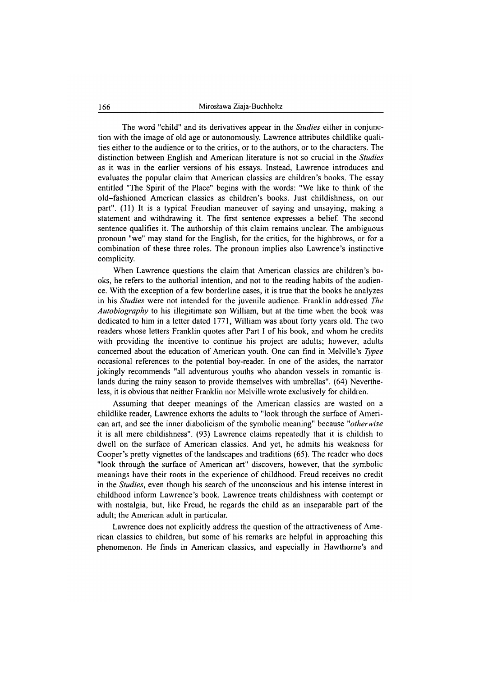The word "child" and its derivatives appear in the *Studies* either in conjunction with the image of old age or autonomously. Lawrence attributes childlike qualities either to the audience or to the critics, or to the authors, or to the characters. The distinction between English and American literature is not so crucial in the *Studies* as it was in the earlier versions of his essays. Instead, Lawrence introduces and evaluates the popular claim that American classics are children's books. The essay entitled "The Spirit of the Place" begins with the words: "We like to think of the old-fashioned American classics as children's books. Just childishness, on our part". (11) It is a typical Freudian maneuver of saying and unsaying, making a statement and withdrawing it. The first sentence expresses a belief. The second sentence qualifies it. The authorship of this claim remains unclear. The ambiguous pronoun "we" may stand for the English, for the critics, for the highbrows, or for a combination of these three roles. The pronoun implies also Lawrence's instinctive complicity.

When Lawrence questions the claim that American classics are children's books, he refers to the authorial intention, and not to the reading habits of the audience. With the exception of a few borderline cases, it is true that the books he analyzes in his *Studies* were not intended for the juvenile audience. Franklin addressed *The Autobiography* to his illegitimate son William, but at the time when the book was dedicated to him in a letter dated 1771, William was about forty years old. The two readers whose letters Franklin quotes after Part I of his book, and whom he credits with providing the incentive to continue his project are adults; however, adults concerned about the education of American youth. One can find in Melville's *Typee* occasional references to the potential boy-reader. In one of the asides, the narrator jokingly recommends "all adventurous youths who abandon vessels in romantic islands during the rainy season to provide themselves with umbrellas". (64) Nevertheless, it is obvious that neither Franklin nor Melville wrote exclusively for children.

Assuming that deeper meanings of the American classics are wasted on a childlike reader, Lawrence exhorts the adults to "look through the surface of American art, and see the inner diabolicism of the symbolic meaning" because *"otherwise* it is all mere childishness". (93) Lawrence claims repeatedly that it is childish to dwell on the surface of American classics. And yet, he admits his weakness for Cooper's pretty vignettes of the landscapes and traditions (65). The reader who does "look through the surface of American art" discovers, however, that the symbolic meanings have their roots in the experience of childhood. Freud receives no credit in the *Studies,* even though his search of the unconscious and his intense interest in childhood inform Lawrence's book. Lawrence treats childishness with contempt or with nostalgia, but, like Freud, he regards the child as an inseparable part of the adult; the American adult in particular.

Lawrence does not explicitly address the question of the attractiveness of American classics to children, but some of his remarks are helpful in approaching this phenomenon. He finds in American classics, and especially in Hawthorne's and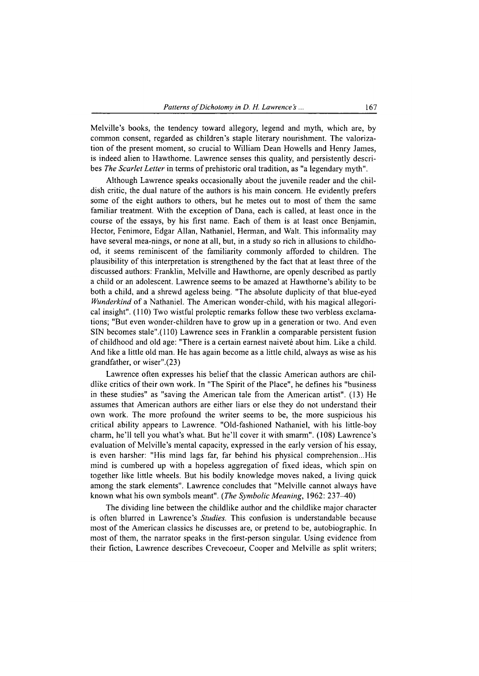Melville's books, the tendency toward allegory, legend and myth, which are, by common consent, regarded as children's staple literary nourishment. The valorization of the present moment, so crucial to William Dean Howells and Henry James, is indeed alien to Hawthorne. Lawrence senses this quality, and persistently describes *The Scarlet Letter* in terms of prehistoric oral tradition, as "a legendary myth".

Although Lawrence speaks occasionally about the juvenile reader and the childish critic, the dual nature of the authors is his main concern. He evidently prefers some of the eight authors to others, but he metes out to most of them the same familiar treatment. With the exception of Dana, each is called, at least once in the course of the essays, by his first name. Each of them is at least once Benjamin, Hector, Fenimore, Edgar Allan, Nathaniel, Herman, and Walt. This infonnality may have several mea-nings, or none at all, but, in a study so rich in allusions to childhood, it seems reminiscent of the familiarity commonly afforded to children. The plausibility of this interpretation is strengthened by the fact that at least three of the discussed authors: Franklin, Melville and Hawthorne, are openly described as partly a child or an adolescent. Lawrence seems to be amazed at Hawthorne's ability to be both a child, and a shrewd ageless being. "The absolute duplicity of that blue-eyed *Wimderkind* of a Nathaniel. The American wonder-child, with his magical allegorical insight". (110) Two wistful proleptic remarks follow these two verbless exclamations; "But even wonder-children have to grow up in a generation or two. And even SIN becomes stale".(110) Lawrence sees in Franklin a comparable persistent fusion of childhood and old age: "There is a certain earnest naivete about him. Like a child. And like a little old man. He has again become as a little child, always as wise as his grandfather, or wiser".(23)

Lawrence often expresses his belief that the classic American authors are childlike critics of their own work. In "The Spirit of the Place", he defines his "business in these studies" as "saving the American tale from the American artist". (13) He assumes that American authors are either liars or else they do not understand their own work. The more profound the writer seems to be, the more suspicious his critical ability appears to Lawrence. "Old-fashioned Nathaniel, with his little-boy charm, he'll tell you what's what. But he'll cover it with smarm". (108) Lawrence's evaluation of Melville's mental capacity, expressed in the early version of his essay, is even harsher: "His mind lags far, far behind his physical comprehension...His mind is cumbered up with a hopeless aggregation of fixed ideas, which spin on together like little wheels. But his bodily knowledge moves naked, a living quick among the stark elements". Lawrence concludes that "Melville cannot always have known what his own symbols meant". *(The Symbolic Meaning,* 1962: 237-40)

The dividing line between the childlike author and the childlike major character is often blurred in Lawrence's *Studies.* This confusion is understandable because most of the American classics he discusses are, or pretend to be, autobiographic. In most of them, the narrator speaks in the first-person singular. Using evidence from their fiction, Lawrence describes Crevecoeur, Cooper and Melville as split writers;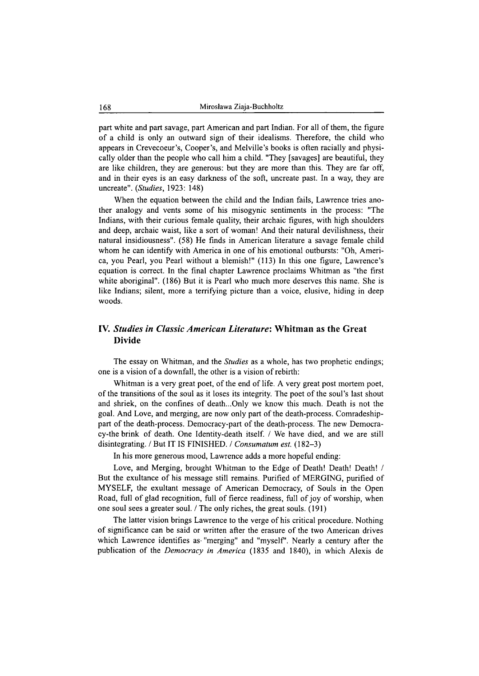part white and part savage, part American and part Indian. For all of them, the figure of a child is only an outward sign of their idealisms. Therefore, the child who appears in Crevecoeur's, Cooper's, and Melville's books is often racially and physically older than the people who call him a child. "They [savages] are beautiful, they are like children, they are generous: but they are more than this. They are far off, and in their eyes is an easy darkness of the soft, uncreate past. In a way, they are uncreate". (*Studies*, 1923: 148)

When the equation between the child and the Indian fails, Lawrence tries another analogy and vents some of his misogynic sentiments in the process: "The Indians, with their curious female quality, their archaic figures, with high shoulders and deep, archaic waist, like a sort of woman! And their natural devilishness, their natural insidiousness". (58) He finds in American literature a savage female child whom he can identify with America in one of his emotional outbursts: "Oh, America, you Pearl, you Pearl without a blemish!" (113) In this one figure, Lawrence's equation is correct. In the final chapter Lawrence proclaims Whitman as "the first white aboriginal". (186) But it is Pearl who much more deserves this name. She is like Indians; silent, more a terrifying picture than a voice, elusive, hiding in deep woods.

#### **IV.** *Studies in Classic A m erican Literature:* **Whitman as the Great Divide**

The essay on Whitman, and the *Studies* as a whole, has two prophetic endings; one is a vision of a downfall, the other is a vision of rebirth:

Whitman is a very great poet, of the end of life. A very great post mortem poet, of the transitions of the soul as it loses its integrity. The poet of the soul's last shout and shriek, on the confines of death...Only we know this much. Death is not the goal. And Love, and merging, are now only part of the death-process. Comradeshippart of the death-process. Democracy-part of the death-process. The new Democracy-the brink of death. One Identity-death itself. / We have died, and we are still disintegrating. / But IT IS FINISHED. / *Consumatum est.* (182-3)

In his more generous mood, Lawrence adds a more hopeful ending:

Love, and Merging, brought Whitman to the Edge of Death! Death! Death! / But the exultance of his message still remains. Purified of MERGING, purified of MYSELF, the exultant message of American Democracy, of Souls in the Open Road, full of glad recognition, full of fierce readiness, full of joy of worship, when one soul sees a greater soul. / The only riches, the great souls. (191)

The latter vision brings Lawrence to the verge of his critical procedure. Nothing of significance can be said or written after the erasure of the two American drives which Lawrence identifies as "merging" and "myself". Nearly a century after the publication of the *Democracy in America* (1835 and 1840), in which Alexis de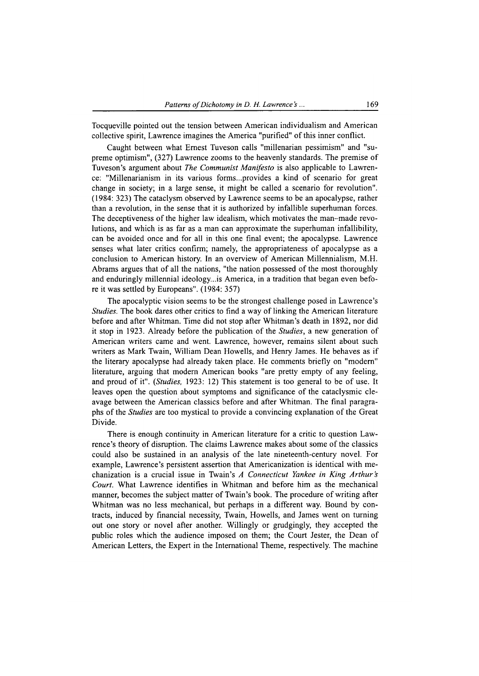Tocqueville pointed out the tension between American individualism and American collective spirit, Lawrence imagines the America "purified" of this inner conflict.

Caught between what Ernest Tuveson calls "millenarian pessimism" and "supreme optimism", (327) Lawrence zooms to the heavenly standards. The premise of Tuveson's argument about *The Communist Manifesto* is also applicable to Lawrence: "Millenarianism in its various forms...provides a kind of scenario for great change in society; in a large sense, it might be called a scenario for revolution". (1984: 323) The cataclysm observed by Lawrence seems to be an apocalypse, rather than a revolution, in the sense that it is authorized by infallible superhuman forces. The deceptiveness of the higher law idealism, which motivates the man-made revolutions, and which is as far as a man can approximate the superhuman infallibility, can be avoided once and for all in this one final event; the apocalypse. Lawrence senses what later critics confirm; namely, the appropriateness of apocalypse as a conclusion to American history. In an overview of American Millennialism, M.H. Abrams argues that of all the nations, "the nation possessed of the most thoroughly and enduringly millennial ideology...is America, in a tradition that began even before it was settled by Europeans". (1984: 357)

The apocalyptic vision seems to be the strongest challenge posed in Lawrence's *Studies.* The book dares other critics to find a way of linking the American literature before and after Whitman. Time did not stop after Whitman's death in 1892, nor did it stop in 1923. Already before the publication of the *Studies,* a new generation of American writers came and went. Lawrence, however, remains silent about such writers as Mark Twain, William Dean Howells, and Henry James. He behaves as if the literary apocalypse had already taken place. He comments briefly on "modem" literature, arguing that modem American books "are pretty empty of any feeling, and proud of it". (*Studies*, 1923: 12) This statement is too general to be of use. It leaves open the question about symptoms and significance of the cataclysmic cleavage between the American classics before and after Whitman. The final paragraphs of the *Studies* are too mystical to provide a convincing explanation of the Great Divide.

There is enough continuity in American literature for a critic to question Lawrence's theory of disruption. The claims Lawrence makes about some of the classics could also be sustained in an analysis of the late nineteenth-century novel. For example, Lawrence's persistent assertion that Americanization is identical with mechanization is a crucial issue in Twain's *A Connecticut Yankee in King Arthur's Court.* What Lawrence identifies in Whitman and before him as the mechanical manner, becomes the subject matter of Twain's book. The procedure of writing after Whitman was no less mechanical, but perhaps in a different way. Bound by contracts, induced by financial necessity, Twain, Howells, and James went on turning out one story or novel after another. Willingly or grudgingly, they accepted the public roles which the audience imposed on them; the Court Jester, the Dean of American Letters, the Expert in the International Theme, respectively. The machine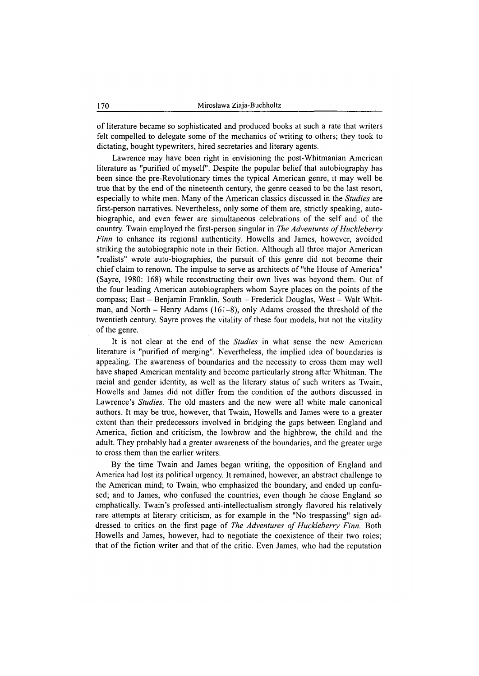of literature became so sophisticated and produced books at such a rate that writers felt compelled to delegate some of the mechanics of writing to others; they took to dictating, bought typewriters, hired secretaries and literary agents.

Lawrence may have been right in envisioning the post-Whitmanian American literature as "purified of myself'. Despite the popular belief that autobiography has been since the pre-Revolutionary times the typical American genre, it may well be true that by the end of the nineteenth century, the genre ceased to be the last resort, especially to white men. Many of the American classics discussed in the *Studies* are first-person narratives. Nevertheless, only some of them are, strictly speaking, autobiographic, and even fewer are simultaneous celebrations of the self and of the country. Twain employed the first-person singular in *The Adventures of Huckleberry Finn* to enhance its regional authenticity. Howells and James, however, avoided striking the autobiographic note in their fiction. Although all three major American "realists" wrote auto-biographies, the pursuit of this genre did not become their chief claim to renown. The impulse to serve as architects of "the House of America" (Sayre, 1980: 168) while reconstructing their own lives was beyond them. Out of the four leading American autobiographers whom Sayre places on the points of the compass; East - Benjamin Franklin, South - Frederick Douglas, West - Walt Whitman, and North - Henry Adams  $(161-8)$ , only Adams crossed the threshold of the twentieth century. Sayre proves the vitality of these four models, but not the vitality of the genre.

It is not clear at the end of the *Studies* in what sense the new American literature is "purified of merging". Nevertheless, the implied idea of boundaries is appealing. The awareness of boundaries and the necessity to cross them may well have shaped American mentality and become particularly strong after Whitman. The racial and gender identity, as well as the literary status of such writers as Twain, Howells and James did not differ from the condition of the authors discussed in Lawrence's *Studies.* The old masters and the new were all white male canonical authors. It may be true, however, that Twain, Howells and James were to a greater extent than their predecessors involved in bridging the gaps between England and America, fiction and criticism, the lowbrow and the highbrow, the child and the adult. They probably had a greater awareness of the boundaries, and the greater urge to cross them than the earlier writers.

By the time Twain and James began writing, the opposition of England and America had lost its political urgency. It remained, however, an abstract challenge to the American mind; to Twain, who emphasized the boundary, and ended up confused; and to James, who confused the countries, even though he chose England so emphatically. Twain's professed anti-intellectualism strongly flavored his relatively rare attempts at literary criticism, as for example in the "No trespassing" sign addressed to critics on the first page of *The Adventures of Huckleberry Finn*. Both Howells and James, however, had to negotiate the coexistence of their two roles; that of the fiction writer and that of the critic. Even James, who had the reputation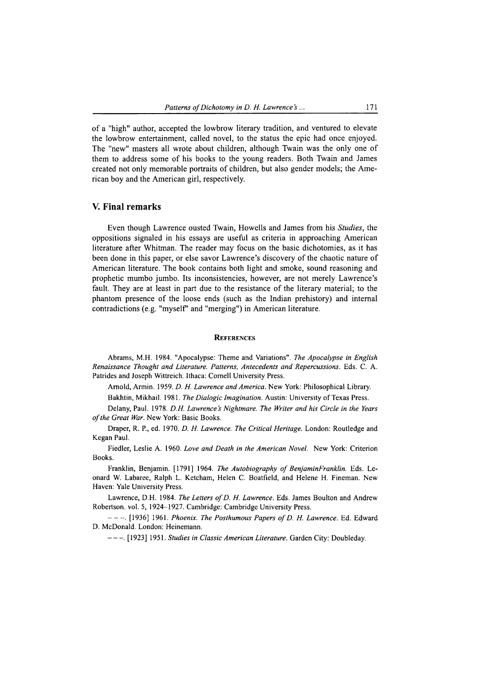of a "high" author, accepted the lowbrow literary tradition, and ventured to elevate the lowbrow entertainment, called novel, to the status the epic had once enjoyed. The "new" masters all wrote about children, although Twain was the only one of them to address some of his books to the young readers. Both Twain and James created not only memorable portraits of children, but also gender models; the American boy and the American girl, respectively.

#### **V. Final remarks**

Even though Lawrence ousted Twain, Howells and James from his *Studies,* the oppositions signaled in his essays are useful as criteria in approaching American literature after Whitman. The reader may focus on the basic dichotomies, as it has been done in this paper, or else savor Lawrence's discovery of the chaotic nature of American literature. The book contains both light and smoke, sound reasoning and prophetic mumbo jumbo. Its inconsistencies, however, are not merely Lawrence's fault. They are at least in part due to the resistance of the literary material; to the phantom presence of the loose ends (such as the Indian prehistory) and internal contradictions (e.g. "myself" and "merging") in American literature.

#### **REFERENCES**

**Abrams, M.H. 1984. "Apocalypse: Theme and Variations".** *The Apocalypse in English Renaissance Thought and Literature. Patterns, Antecedents and Repercussions.* **Eds. C. A. Patrides and Joseph Wittreich. Ithaca: Cornell University Press.**

**Arnold, Armin. 1959.** *D. H. Lawrence and America.* **New York: Philosophical Library.**

**Bakhtin, Mikhail. 1981.** *The Dialogic Imagination.* **Austin: University of Texas Press.**

**Delany, Paul. 1978.** *D.H. Lawrence's Nightmare. The Writer and his Circle in the Years o f the Great War.* **New York: Basic Books.**

**Draper, R. P., ed. 1970.** *D. H. Lawrence. The Critical Heritage.* **London: Routledge and Regan Paul.**

**Fiedler, Leslie A. 1960.** *Love and Death in the American Novel.* **New York: Criterion Books.**

Franklin, Benjamin. [1791] 1964. *The Autobiography of BenjaminFranklin*. Eds. Le**onard W. Labaree, Ralph L. Ketcham, Helen C. Boatfield, and Helene H. Fineman. New Haven: Yale University Press.**

Lawrence, D.H. 1984. *The Letters of D. H. Lawrence*. Eds. James Boulton and Andrew **Robertson, vol. 5, 1924-1927. Cambridge: Cambridge University Press.**

**-------. [1936] 1961.** *Phoenix. The Posthumous Papers o f D. H. Lawrence.* **Ed. Edward D. McDonald. London: Heinemann.**

**------ . [1923] 1951.** *Studies in Classic American Literature.* **Garden City: Doubleday.**